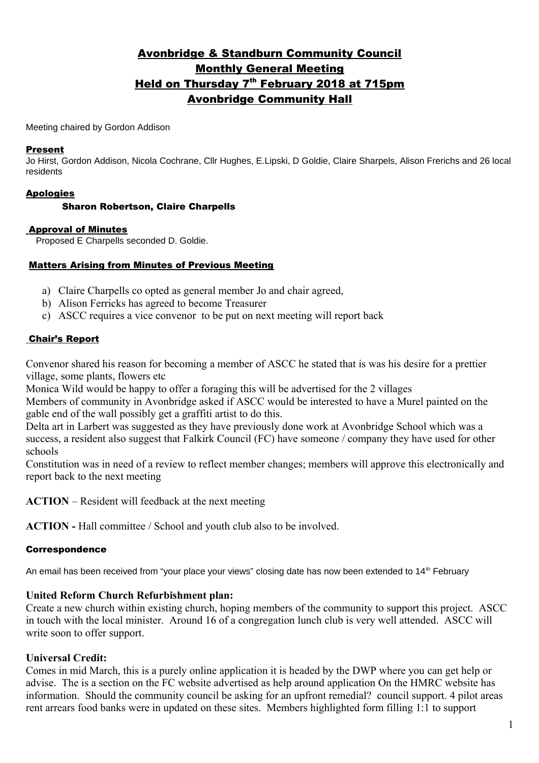# Avonbridge & Standburn Community Council Monthly General Meeting <u>Held on Thursday 7<sup>th</sup> February 2018 at 715pm</u> Avonbridge Community Hall

Meeting chaired by Gordon Addison

#### Present

Jo Hirst, Gordon Addison, Nicola Cochrane, Cllr Hughes, E.Lipski, D Goldie, Claire Sharpels, Alison Frerichs and 26 local residents

## Apologies

#### Sharon Robertson, Claire Charpells

#### Approval of Minutes

Proposed E Charpells seconded D. Goldie.

#### Matters Arising from Minutes of Previous Meeting

- a) Claire Charpells co opted as general member Jo and chair agreed,
- b) Alison Ferricks has agreed to become Treasurer
- c) ASCC requires a vice convenor to be put on next meeting will report back

#### Chair's Report

Convenor shared his reason for becoming a member of ASCC he stated that is was his desire for a prettier village, some plants, flowers etc

Monica Wild would be happy to offer a foraging this will be advertised for the 2 villages Members of community in Avonbridge asked if ASCC would be interested to have a Murel painted on the

gable end of the wall possibly get a graffiti artist to do this.

Delta art in Larbert was suggested as they have previously done work at Avonbridge School which was a success, a resident also suggest that Falkirk Council (FC) have someone / company they have used for other schools

Constitution was in need of a review to reflect member changes; members will approve this electronically and report back to the next meeting

**ACTION** – Resident will feedback at the next meeting

**ACTION -** Hall committee / School and youth club also to be involved.

#### Correspondence

An email has been received from "your place your views" closing date has now been extended to 14<sup>th</sup> February

### **United Reform Church Refurbishment plan:**

Create a new church within existing church, hoping members of the community to support this project. ASCC in touch with the local minister. Around 16 of a congregation lunch club is very well attended. ASCC will write soon to offer support.

### **Universal Credit:**

Comes in mid March, this is a purely online application it is headed by the DWP where you can get help or advise. The is a section on the FC website advertised as help around application On the HMRC website has information. Should the community council be asking for an upfront remedial? council support. 4 pilot areas rent arrears food banks were in updated on these sites. Members highlighted form filling 1:1 to support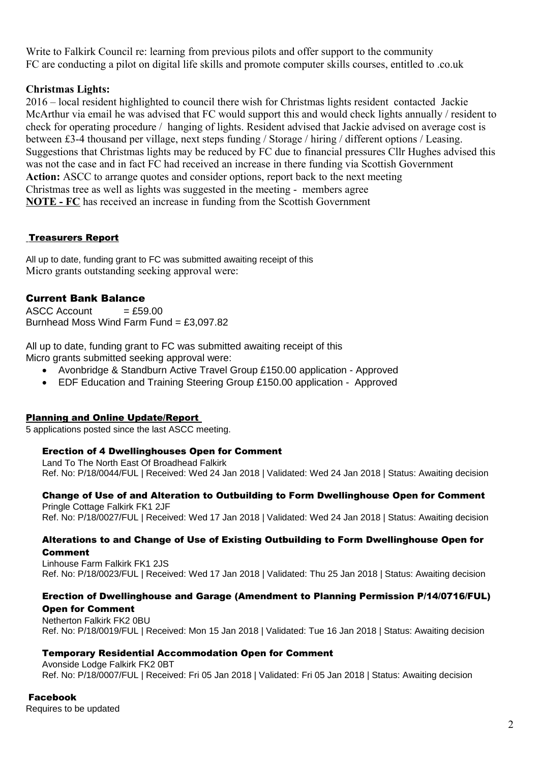Write to Falkirk Council re: learning from previous pilots and offer support to the community FC are conducting a pilot on digital life skills and promote computer skills courses, entitled to .co.uk

# **Christmas Lights:**

2016 – local resident highlighted to council there wish for Christmas lights resident contacted Jackie McArthur via email he was advised that FC would support this and would check lights annually / resident to check for operating procedure / hanging of lights. Resident advised that Jackie advised on average cost is between £3-4 thousand per village, next steps funding / Storage / hiring / different options / Leasing. Suggestions that Christmas lights may be reduced by FC due to financial pressures Cllr Hughes advised this was not the case and in fact FC had received an increase in there funding via Scottish Government **Action:** ASCC to arrange quotes and consider options, report back to the next meeting Christmas tree as well as lights was suggested in the meeting - members agree **NOTE - FC** has received an increase in funding from the Scottish Government

# Treasurers Report

All up to date, funding grant to FC was submitted awaiting receipt of this Micro grants outstanding seeking approval were:

# Current Bank Balance

 $ASCC$  Account  $= f.59.00$ Burnhead Moss Wind Farm Fund = £3,097.82

All up to date, funding grant to FC was submitted awaiting receipt of this Micro grants submitted seeking approval were:

- Avonbridge & Standburn Active Travel Group £150.00 application Approved
- EDF Education and Training Steering Group £150.00 application Approved

### Planning and Online Update/Report

5 applications posted since the last ASCC meeting.

### Erection of 4 Dwellinghouses Open for Comment

Land To The North East Of Broadhead Falkirk Ref. No: P/18/0044/FUL | Received: Wed 24 Jan 2018 | Validated: Wed 24 Jan 2018 | Status: Awaiting decision

### Change of Use of and Alteration to Outbuilding to Form Dwellinghouse Open for Comment

Pringle Cottage Falkirk FK1 2JF Ref. No: P/18/0027/FUL | Received: Wed 17 Jan 2018 | Validated: Wed 24 Jan 2018 | Status: Awaiting decision

#### Alterations to and Change of Use of Existing Outbuilding to Form Dwellinghouse Open for Comment

Linhouse Farm Falkirk FK1 2JS Ref. No: P/18/0023/FUL | Received: Wed 17 Jan 2018 | Validated: Thu 25 Jan 2018 | Status: Awaiting decision

# Erection of Dwellinghouse and Garage (Amendment to Planning Permission P/14/0716/FUL) Open for Comment

Netherton Falkirk FK2 0BU Ref. No: P/18/0019/FUL | Received: Mon 15 Jan 2018 | Validated: Tue 16 Jan 2018 | Status: Awaiting decision

### Temporary Residential Accommodation Open for Comment

Avonside Lodge Falkirk FK2 0BT Ref. No: P/18/0007/FUL | Received: Fri 05 Jan 2018 | Validated: Fri 05 Jan 2018 | Status: Awaiting decision

### Facebook

Requires to be updated